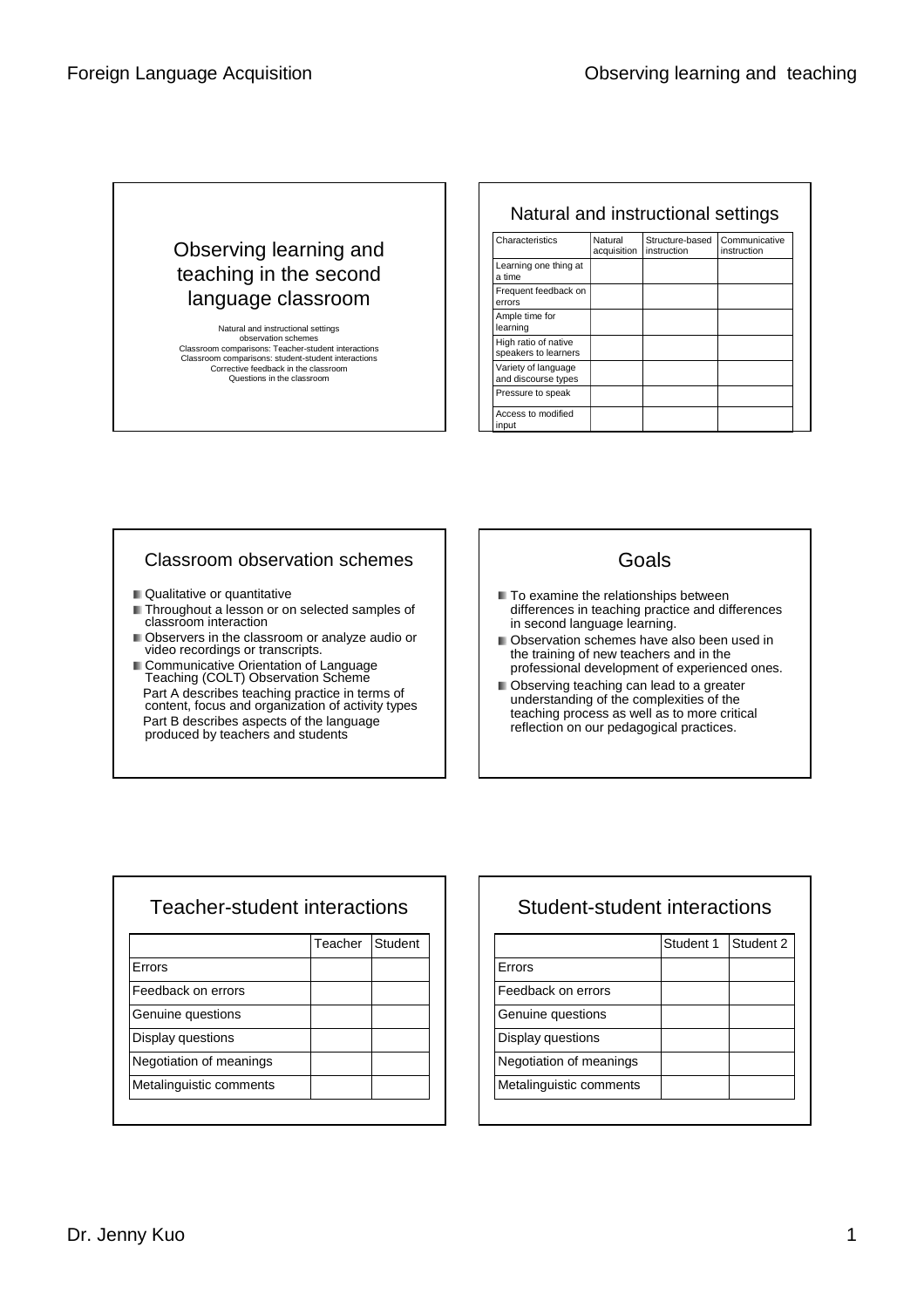## Observing learning and teaching in the second language classroom

Natural and instructional settings observation schemes Classroom comparisons: Teacher-student interactions Classroom comparisons: student-student interactions Corrective feedback in the classroom Questions in the classroom

#### Natural and instructional settings

| Characteristics                              | Natural<br>acquisition | Structure-based<br>instruction | Communicative<br>instruction |
|----------------------------------------------|------------------------|--------------------------------|------------------------------|
| Learning one thing at<br>a time              |                        |                                |                              |
| Frequent feedback on<br>errors               |                        |                                |                              |
| Ample time for<br>learning                   |                        |                                |                              |
| High ratio of native<br>speakers to learners |                        |                                |                              |
| Variety of language<br>and discourse types   |                        |                                |                              |
| Pressure to speak                            |                        |                                |                              |
| Access to modified<br>input                  |                        |                                |                              |

#### Classroom observation schemes

- Qualitative or quantitative
- Throughout a lesson or on selected samples of classroom interaction
- Observers in the classroom or analyze audio or video recordings or transcripts.
- **Communicative Orientation of Language** Teaching (COLT) Observation Scheme Part A describes teaching practice in terms of content, focus and organization of activity types Part B describes aspects of the language produced by teachers and students

#### Goals

- $\blacksquare$  To examine the relationships between differences in teaching practice and differences in second language learning.
- **Observation schemes have also been used in** the training of new teachers and in the professional development of experienced ones.
- **D** Observing teaching can lead to a greater understanding of the complexities of the teaching process as well as to more critical reflection on our pedagogical practices.

## Teacher-student interactions

|                         | Teacher | Student |
|-------------------------|---------|---------|
| Errors                  |         |         |
| Feedback on errors      |         |         |
| Genuine questions       |         |         |
| Display questions       |         |         |
| Negotiation of meanings |         |         |
| Metalinguistic comments |         |         |

# Student-student interactions

|                         | Student 1 | Student 2 |
|-------------------------|-----------|-----------|
| Errors                  |           |           |
| Feedback on errors      |           |           |
| Genuine questions       |           |           |
| Display questions       |           |           |
| Negotiation of meanings |           |           |
| Metalinguistic comments |           |           |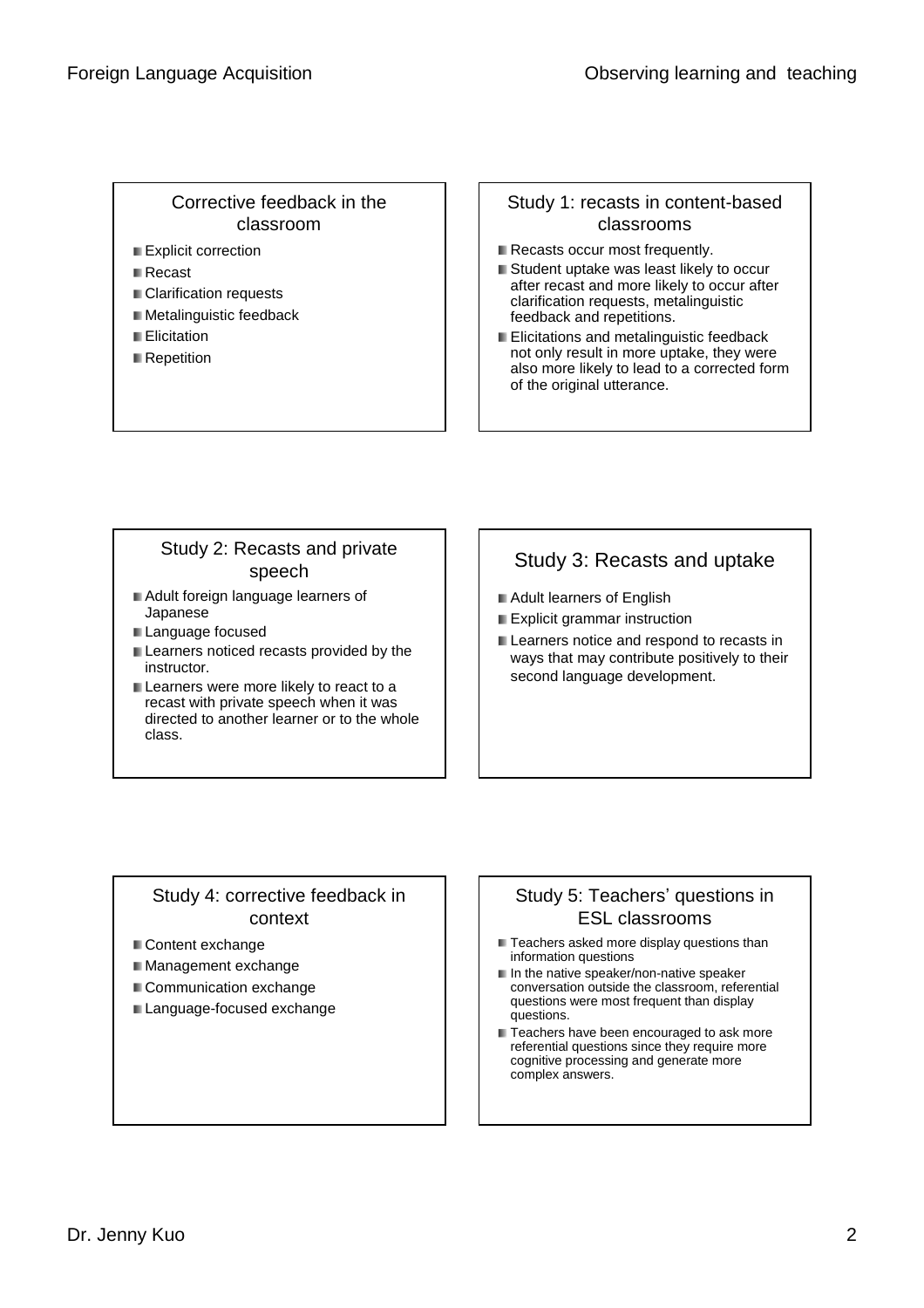#### Corrective feedback in the classroom

- Explicit correction
- **■** Recast
- **Clarification requests**
- **Metalinguistic feedback**
- **Elicitation**
- **Repetition**

#### Study 1: recasts in content-based classrooms

- Recasts occur most frequently.
- Student uptake was least likely to occur after recast and more likely to occur after clarification requests, metalinguistic feedback and repetitions.
- **Elicitations and metalinguistic feedback** not only result in more uptake, they were also more likely to lead to a corrected form of the original utterance.

## Study 2: Recasts and private speech

- Adult foreign language learners of Japanese
- Language focused
- **Learners noticed recasts provided by the** instructor.
- Learners were more likely to react to a recast with private speech when it was directed to another learner or to the whole class.

# Study 3: Recasts and uptake

- **Adult learners of English**
- **Explicit grammar instruction**
- **Learners notice and respond to recasts in** ways that may contribute positively to their second language development.

#### Study 4: corrective feedback in context

- Content exchange
- **Management exchange**
- Communication exchange
- **Language-focused exchange**

### Study 5: Teachers' questions in ESL classrooms

- Teachers asked more display questions than information questions
- $\blacksquare$  In the native speaker/non-native speaker conversation outside the classroom, referential questions were most frequent than display questions.
- Teachers have been encouraged to ask more referential questions since they require more cognitive processing and generate more complex answers.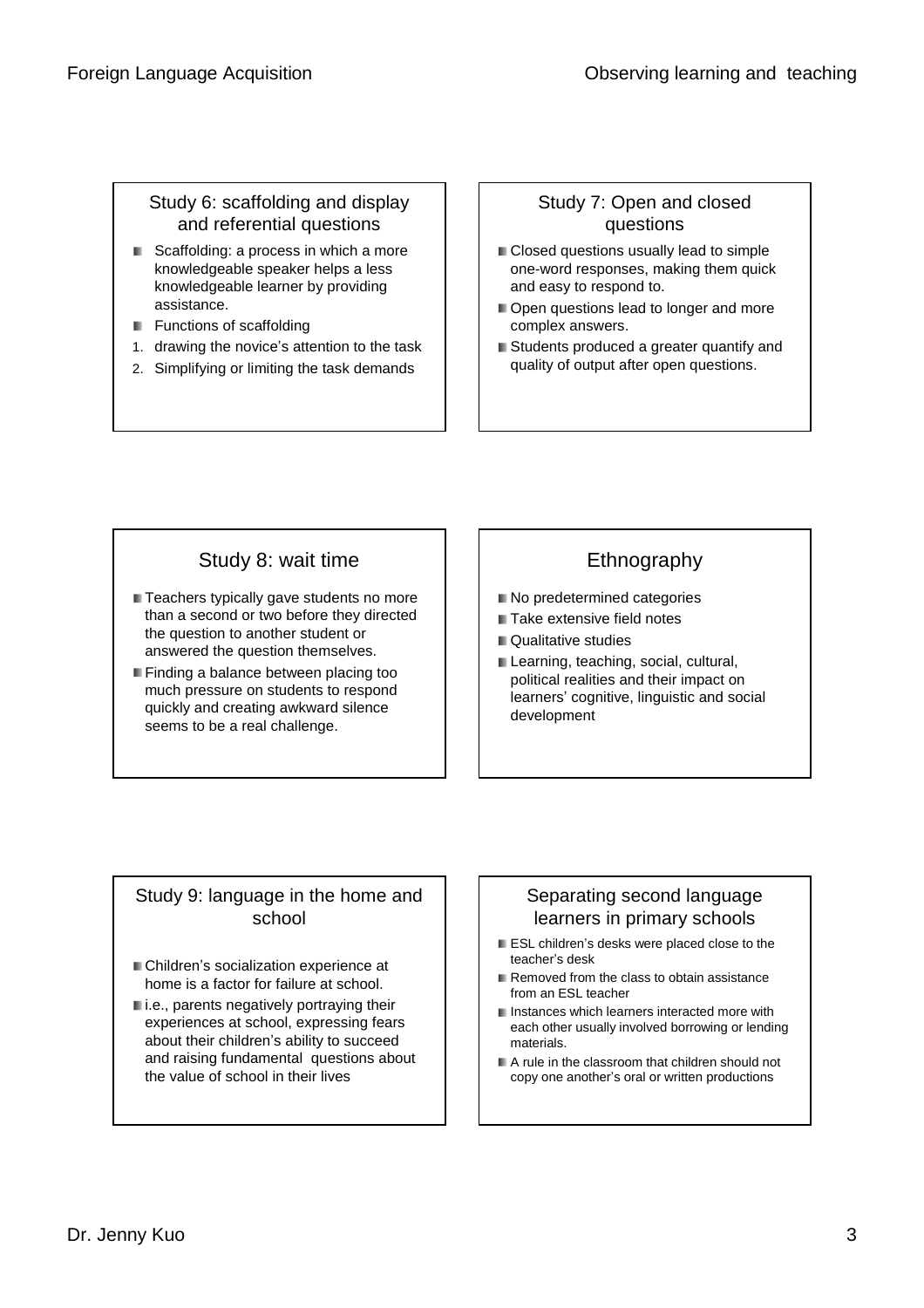### Study 6: scaffolding and display and referential questions

- Scaffolding: a process in which a more knowledgeable speaker helps a less knowledgeable learner by providing assistance.
- **Functions of scaffolding**
- 1. drawing the novice's attention to the task
- 2. Simplifying or limiting the task demands

### Study 7: Open and closed questions

- **Closed questions usually lead to simple** one-word responses, making them quick and easy to respond to.
- Open questions lead to longer and more complex answers.
- Students produced a greater quantify and quality of output after open questions.

## Study 8: wait time

- **Teachers typically gave students no more** than a second or two before they directed the question to another student or answered the question themselves.
- **Finding a balance between placing too** much pressure on students to respond quickly and creating awkward silence seems to be a real challenge.

## Ethnography

- $\blacksquare$  No predetermined categories
- Take extensive field notes
- Qualitative studies
- Learning, teaching, social, cultural, political realities and their impact on learners'cognitive, linguistic and social development

#### Study 9: language in the home and school

- Children's socialization experience at home is a factor for failure at school.
- i.e., parents negatively portraying their experiences at school, expressing fears about their children's ability to succeed and raising fundamental questions about the value of school in their lives

#### Separating second language learners in primary schools

- ESL children's desks were placed close to the teacher's desk
- Removed from the class to obtain assistance from an ESL teacher
- **I** Instances which learners interacted more with each other usually involved borrowing or lending materials.
- A rule in the classroom that children should not copy one another's oral or written productions